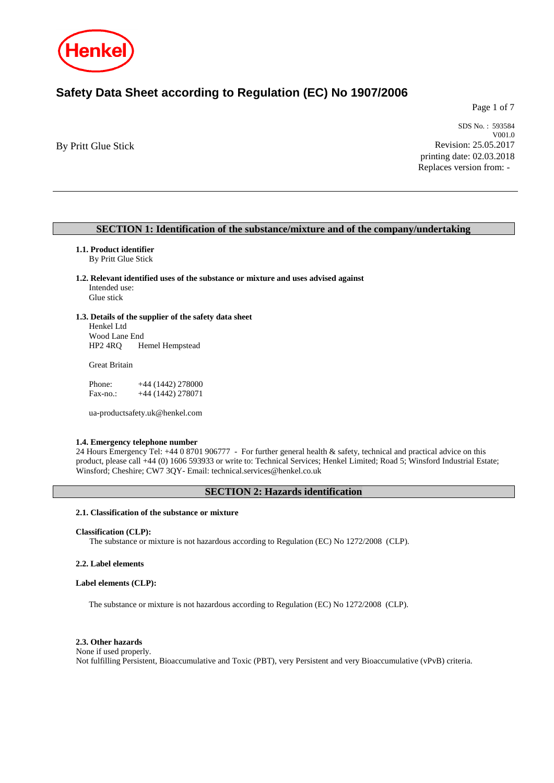

# **Safety Data Sheet according to Regulation (EC) No 1907/2006**

Page 1 of 7

By Pritt Glue Stick

SDS No. : 593584 V001.0 Revision: 25.05.2017 printing date: 02.03.2018 Replaces version from: -

# **SECTION 1: Identification of the substance/mixture and of the company/undertaking**

# **1.1. Product identifier**

By Pritt Glue Stick

- **1.2. Relevant identified uses of the substance or mixture and uses advised against** Intended use: Glue stick
- 
- **1.3. Details of the supplier of the safety data sheet** Henkel Ltd

Wood Lane End<br>HP2 4RQ H Hemel Hempstead

Great Britain

Phone: +44 (1442) 278000 Fax-no.:  $+44 (1442) 278071$ 

ua-productsafety.uk@henkel.com

#### **1.4. Emergency telephone number**

24 Hours Emergency Tel: +44 0 8701 906777 - For further general health & safety, technical and practical advice on this product, please call +44 (0) 1606 593933 or write to: Technical Services; Henkel Limited; Road 5; Winsford Industrial Estate; Winsford; Cheshire; CW7 3QY- Email: technical.services@henkel.co.uk

# **SECTION 2: Hazards identification**

# **2.1. Classification of the substance or mixture**

#### **Classification (CLP):**

The substance or mixture is not hazardous according to Regulation (EC) No 1272/2008 (CLP).

#### **2.2. Label elements**

#### **Label elements (CLP):**

The substance or mixture is not hazardous according to Regulation (EC) No 1272/2008 (CLP).

#### **2.3. Other hazards**

None if used properly. Not fulfilling Persistent, Bioaccumulative and Toxic (PBT), very Persistent and very Bioaccumulative (vPvB) criteria.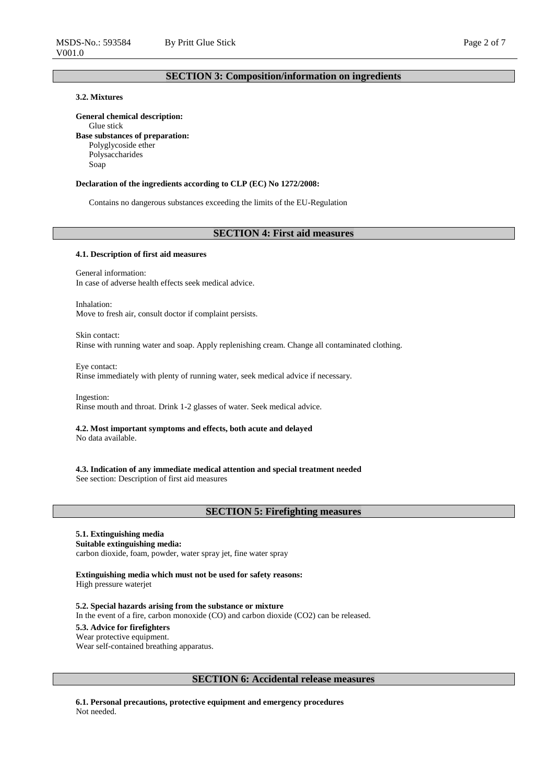# **3.2. Mixtures**

**General chemical description:**

Glue stick **Base substances of preparation:** Polyglycoside ether Polysaccharides Soap

#### **Declaration of the ingredients according to CLP (EC) No 1272/2008:**

Contains no dangerous substances exceeding the limits of the EU-Regulation

#### **SECTION 4: First aid measures**

#### **4.1. Description of first aid measures**

General information: In case of adverse health effects seek medical advice.

Inhalation: Move to fresh air, consult doctor if complaint persists.

Skin contact: Rinse with running water and soap. Apply replenishing cream. Change all contaminated clothing.

Eye contact: Rinse immediately with plenty of running water, seek medical advice if necessary.

Ingestion: Rinse mouth and throat. Drink 1-2 glasses of water. Seek medical advice.

# **4.2. Most important symptoms and effects, both acute and delayed**

No data available.

**4.3. Indication of any immediate medical attention and special treatment needed** See section: Description of first aid measures

#### **SECTION 5: Firefighting measures**

#### **5.1. Extinguishing media Suitable extinguishing media:**

carbon dioxide, foam, powder, water spray jet, fine water spray

**Extinguishing media which must not be used for safety reasons:** High pressure waterjet

**5.2. Special hazards arising from the substance or mixture** In the event of a fire, carbon monoxide (CO) and carbon dioxide (CO2) can be released. **5.3. Advice for firefighters** Wear protective equipment. Wear self-contained breathing apparatus.

# **SECTION 6: Accidental release measures**

**6.1. Personal precautions, protective equipment and emergency procedures** Not needed.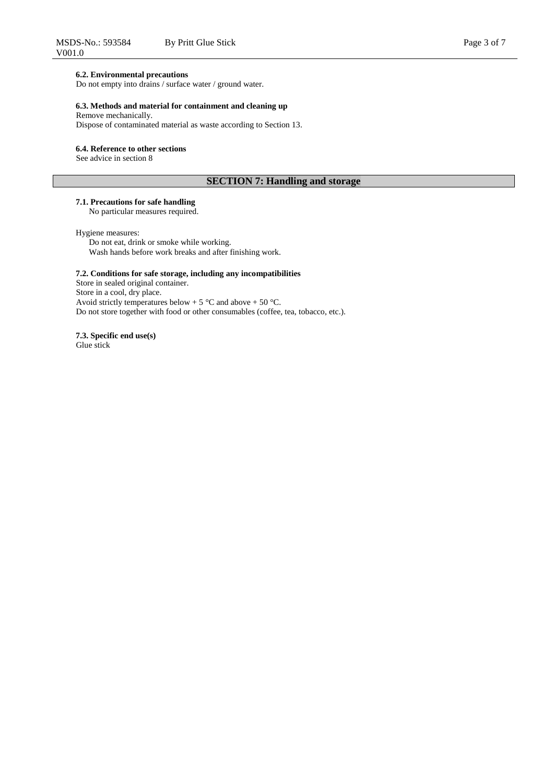## **6.2. Environmental precautions**

Do not empty into drains / surface water / ground water.

# **6.3. Methods and material for containment and cleaning up**

Remove mechanically.

Dispose of contaminated material as waste according to Section 13.

# **6.4. Reference to other sections**

See advice in section 8

# **SECTION 7: Handling and storage**

# **7.1. Precautions for safe handling**

No particular measures required.

#### Hygiene measures:

Do not eat, drink or smoke while working. Wash hands before work breaks and after finishing work.

# **7.2. Conditions for safe storage, including any incompatibilities**

Store in sealed original container. Store in a cool, dry place. Avoid strictly temperatures below + 5  $\degree$ C and above + 50  $\degree$ C. Do not store together with food or other consumables (coffee, tea, tobacco, etc.).

#### **7.3. Specific end use(s)** Glue stick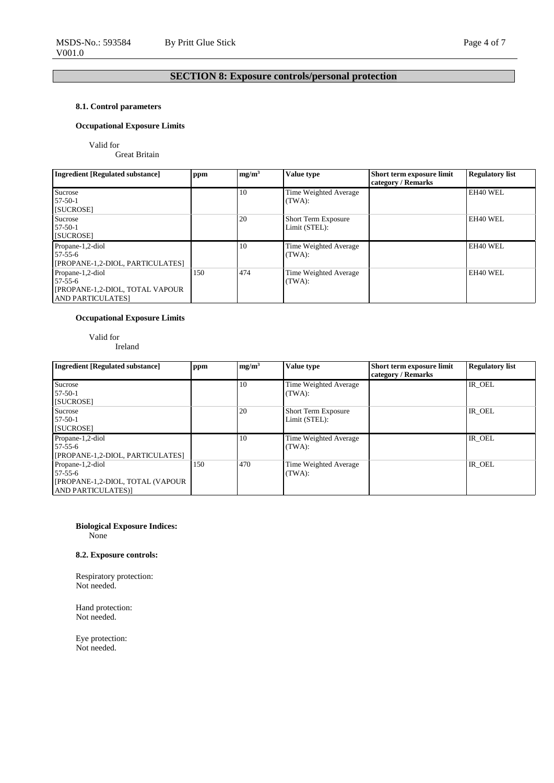# **SECTION 8: Exposure controls/personal protection**

# **8.1. Control parameters**

# **Occupational Exposure Limits**

Valid for

Great Britain

| <b>Ingredient [Regulated substance]</b> | ppm | mg/m <sup>3</sup> | Value type                 | Short term exposure limit | <b>Regulatory list</b> |
|-----------------------------------------|-----|-------------------|----------------------------|---------------------------|------------------------|
|                                         |     |                   |                            | category / Remarks        |                        |
| Sucrose                                 |     | 10                | Time Weighted Average      |                           | EH40 WEL               |
| $57-50-1$                               |     |                   | (TWA):                     |                           |                        |
| [SUCROSE]                               |     |                   |                            |                           |                        |
| Sucrose                                 |     | 20                | <b>Short Term Exposure</b> |                           | EH40 WEL               |
| $57-50-1$                               |     |                   | Limit (STEL):              |                           |                        |
| [SUCROSE]                               |     |                   |                            |                           |                        |
| Propane-1,2-diol                        |     | 10                | Time Weighted Average      |                           | EH40 WEL               |
| $57 - 55 - 6$                           |     |                   | (TWA):                     |                           |                        |
| [PROPANE-1,2-DIOL, PARTICULATES]        |     |                   |                            |                           |                        |
| Propane-1,2-diol                        | 150 | 474               | Time Weighted Average      |                           | EH40 WEL               |
| $57 - 55 - 6$                           |     |                   | (TWA):                     |                           |                        |
| [PROPANE-1,2-DIOL, TOTAL VAPOUR]        |     |                   |                            |                           |                        |
| <b>AND PARTICULATES</b>                 |     |                   |                            |                           |                        |

# **Occupational Exposure Limits**

Valid for Ireland

| <b>Ingredient [Regulated substance]</b>                                                       | ppm | mg/m <sup>3</sup> | Value type                                  | Short term exposure limit<br>category / Remarks | <b>Regulatory list</b> |
|-----------------------------------------------------------------------------------------------|-----|-------------------|---------------------------------------------|-------------------------------------------------|------------------------|
| Sucrose<br>$57-50-1$<br>[SUCROSE]                                                             |     | 10                | Time Weighted Average<br>(TWA):             |                                                 | IR OEL                 |
| Sucrose<br>$57 - 50 - 1$<br>[SUCROSE]                                                         |     | 20                | <b>Short Term Exposure</b><br>Limit (STEL): |                                                 | IR OEL                 |
| Propane-1,2-diol<br>$57-55-6$<br>[PROPANE-1,2-DIOL, PARTICULATES]                             |     | 10                | Time Weighted Average<br>(TWA):             |                                                 | IR OEL                 |
| Propane-1,2-diol<br>$57-55-6$<br>[PROPANE-1,2-DIOL, TOTAL (VAPOUR<br><b>AND PARTICULATES)</b> | 150 | 470               | Time Weighted Average<br>(TWA):             |                                                 | IR OEL                 |

#### **Biological Exposure Indices:** None

# **8.2. Exposure controls:**

Respiratory protection: Not needed.

Hand protection: Not needed.

Eye protection: Not needed.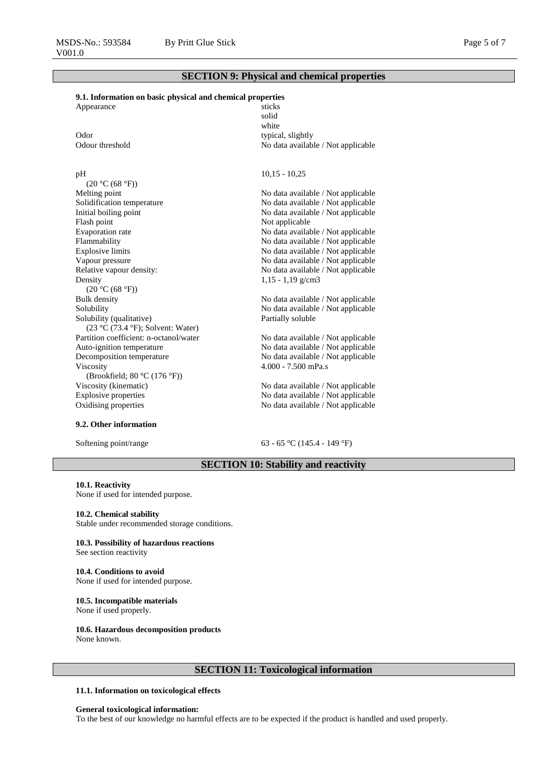# **SECTION 9: Physical and chemical properties**

# **9.1. Information on basic physical and chemical properties**

| Appearance      | sticks                             |
|-----------------|------------------------------------|
|                 | solid                              |
|                 | white                              |
| Odor            | typical, slightly                  |
| Odour threshold | No data available / Not applicable |

#### pH

 $(20 °C (68 °F))$ <br>Melting point Solidification temperature No data available / Not applicable Initial boiling point<br>
No data available / Not applicable<br>
Not applicable<br>
Not applicable<br>
Not applicable Evaporation rate No data available / Not applicable<br>Flammability No data available / Not applicable Flammability<br>Explosive limits September 2003 No data available / Not applicable<br>No data available / Not applicable Explosive limits<br>
Vapour pressure<br>
Vapour pressure<br>
No data available / Not applicable<br>
No data available / Not applicable<br>
Vapour pressure Relative vapour density: No data available / Not applicable Density  $(20 °C (68 °F))$ <br>Bulk density Bulk density<br>Solubility No data available / Not applicable<br>Solubility No data available / Not applicable Solubility (qualitative) (23 °C (73.4 °F); Solvent: Water)<br>Partition coefficient: n-octanol/water Auto-ignition temperature No data available / Not applicable Decomposition temperature No data available / Not applicable Viscosity (Brookfield; 80 °C (176 °F)) Viscosity (kinematic) No data available / Not applicable Explosive properties No data available / Not applicable

#### **9.2. Other information**

10,15 - 10,25

No data available / Not applicable Not applicable No data available / Not applicable 1,15 - 1,19 g/cm3

No data available / Not applicable Partially soluble

No data available / Not applicable 4.000 - 7.500 mPa.s

No data available / Not applicable Oxidising properties No data available / Not applicable

Softening point/range 63 - 65 °C (145.4 - 149 °F)

# **SECTION 10: Stability and reactivity**

**10.1. Reactivity** None if used for intended purpose.

#### **10.2. Chemical stability**

Stable under recommended storage conditions.

#### **10.3. Possibility of hazardous reactions** See section reactivity

#### **10.4. Conditions to avoid** None if used for intended purpose.

#### **10.5. Incompatible materials** None if used properly.

# **10.6. Hazardous decomposition products**

None known.

# **SECTION 11: Toxicological information**

#### **11.1. Information on toxicological effects**

#### **General toxicological information:**

To the best of our knowledge no harmful effects are to be expected if the product is handled and used properly.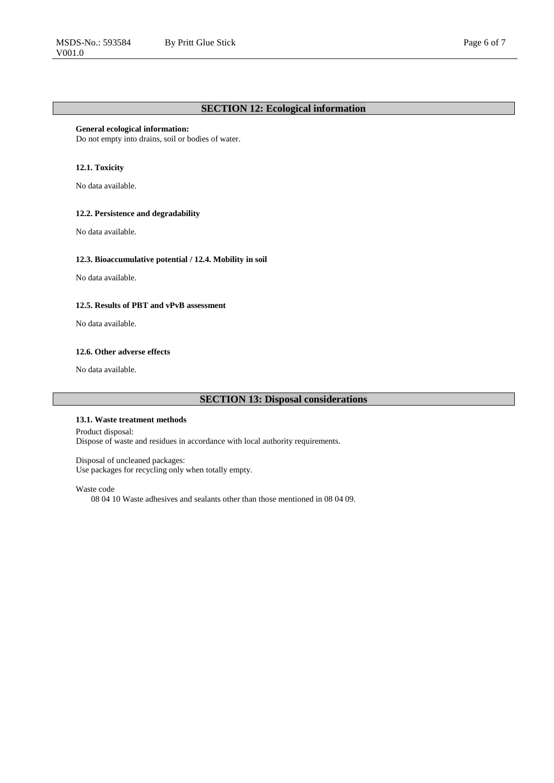# **General ecological information:**

Do not empty into drains, soil or bodies of water.

## **12.1. Toxicity**

No data available.

#### **12.2. Persistence and degradability**

No data available.

# **12.3. Bioaccumulative potential / 12.4. Mobility in soil**

No data available.

## **12.5. Results of PBT and vPvB assessment**

No data available.

# **12.6. Other adverse effects**

No data available.

# **SECTION 13: Disposal considerations**

#### **13.1. Waste treatment methods**

Product disposal: Dispose of waste and residues in accordance with local authority requirements.

#### Disposal of uncleaned packages:

Use packages for recycling only when totally empty.

#### Waste code

08 04 10 Waste adhesives and sealants other than those mentioned in 08 04 09.